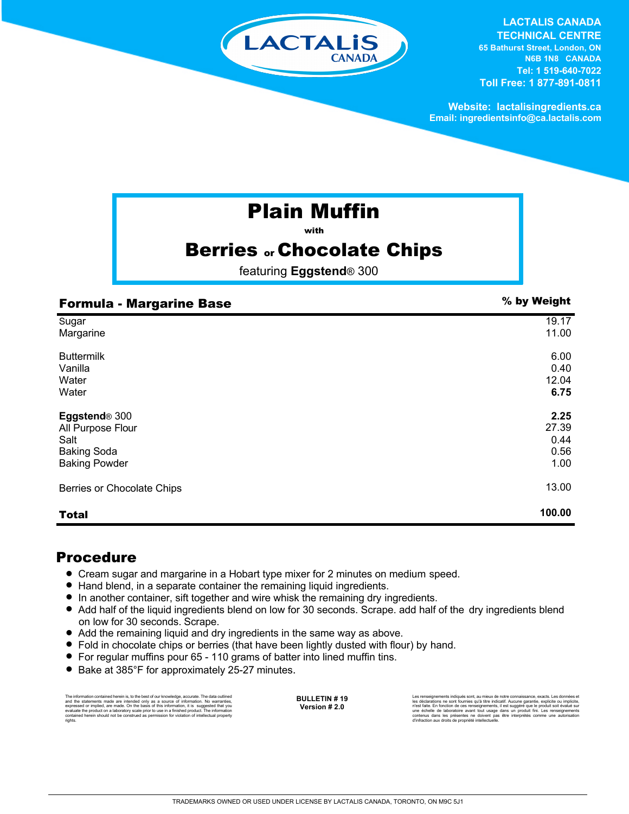

#### **LACTALIS CANADA TECHNICAL CENTRE 65 Bathurst Street, London, ON**

**N6B 1N8 CANADA Tel: 1 519-640-7022 Toll Free: 1 877-891-0811**

**Website: lactalisingredients.ca Email: ingredientsinfo@ca.lactalis.com**

# Plain Muffin

with

## **Berries or Chocolate Chips**

featuring **Eggstend**® 300

| <b>Formula - Margarine Base</b> | % by Weight |
|---------------------------------|-------------|
| Sugar                           | 19.17       |
| Margarine                       | 11.00       |
| <b>Buttermilk</b>               | 6.00        |
| Vanilla                         | 0.40        |
| Water                           | 12.04       |
| Water                           | 6.75        |
| Eggstend® 300                   | 2.25        |
| All Purpose Flour               | 27.39       |
| Salt                            | 0.44        |
| <b>Baking Soda</b>              | 0.56        |
| <b>Baking Powder</b>            | 1.00        |
| Berries or Chocolate Chips      | 13.00       |
| <b>Total</b>                    | 100.00      |

### Procedure

- = Cream sugar and margarine in a Hobart type mixer for 2 minutes on medium speed.
- Hand blend, in a separate container the remaining liquid ingredients.
- = In another container, sift together and wire whisk the remaining dry ingredients.
- Add half of the liquid ingredients blend on low for 30 seconds. Scrape. add half of the dry ingredients blend on low for 30 seconds. Scrape.
- Add the remaining liquid and dry ingredients in the same way as above.
- Fold in chocolate chips or berries (that have been lightly dusted with flour) by hand.
- = For regular muffins pour 65 110 grams of batter into lined muffin tins.
- Bake at 385°F for approximately 25-27 minutes.

The information contained herein is, to the best of our knowledge, accurate. The data outlined and the statements made are intended only as a source of information. No warranties,<br>expressed or implied, are made. On the basis of this information, it is suggested that you<br>evaluate the product on a laboratory scale pri rights.

**BULLETIN # 19 Version # 2.0**

Les renseignements indiqués sont, au mieux de notre connaissance, exacts. Les données et les déclarations ne sont fournies qu'à titre indicatif. Aucune garantie, explicite ou implicite, en fonction de ces renseignements, il est suggéré que le produit soit évalué sur<br>une échelle de laboratoire avant tout usage